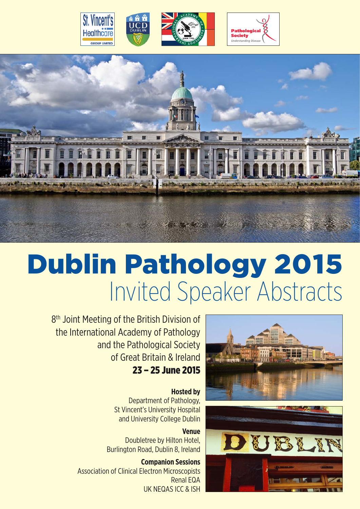



# Dublin Pathology 2015 Invited Speaker Abstracts





8<sup>th</sup> Joint Meeting of the British Division of the International Academy of Pathology and the Pathological Society of Great Britain & Ireland 23 – 25 June 2015

### **Hosted by**

Department of Pathology, St Vincent's University Hospital and University College Dublin

**Venue** Doubletree by Hilton Hotel, Burlington Road, Dublin 8, Ireland

**Companion Sessions** Association of Clinical Electron Microscopists Renal EQA UK NEQAS ICC & ISH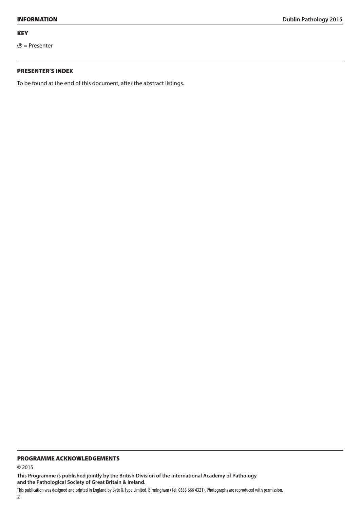#### KEY

 $\circledR$  = Presenter

#### Presenter's Index

To be found at the end of this document, after the abstract listings.

#### Programme acknowledgements

**This Programme is published jointly by the British Division of the International Academy of Pathology and the Pathological Society of Great Britain & Ireland.**

This publication was designed and printed in England by Byte & Type Limited, Birmingham (Tel: 0333 666 4321). Photographs are reproduced with permission.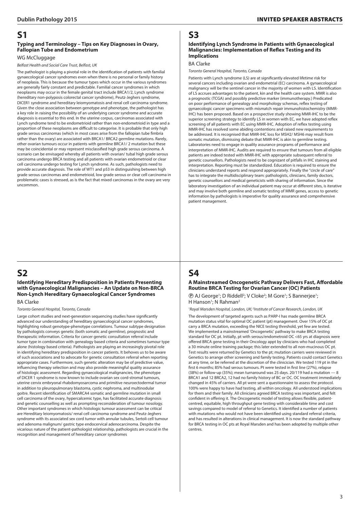#### **Typing and Terminology – Tips on Key Diagnoses in Ovary, Fallopian Tube and Endometrium**

#### WG McCluggage

*Belfast Health and Social Care Trust, Belfast, UK*

The pathologist is playing a pivotal role in the identification of patients with familial gynaecological cancer syndromes even when there is no personal or family history of neoplasia. This is because the tumour types which occur in the various syndromes are generally fairly constant and predictable. Familial cancer syndromes in which neoplasms may occur in the female genital tract include BRCA1/2, Lynch syndrome (hereditary non-polyposis colorectal cancer syndrome), Peutz-Jeghers syndrome, DICER1 syndrome and hereditary leiomyomatosis and renal cell carcinoma syndrome. Given the close association between genotype and phenotype, the pathologist has a key role in raising the possibility of an underlying cancer syndrome and accurate diagnosis is essential to this end. In the uterine corpus, carcinomas associated with Lynch syndrome tend to be endometrioid rather than non-endometrioid in type and a proportion of these neoplasms are difficult to categorise. It is probable that only high grade serous carcinomas (which in most cases arise from the fallopian tube fimbria rather than the ovary) are associated with BRCA1/ BRCA2 germline mutations. Rarely, other ovarian tumours occur in patients with germline BRCA1/ 2 mutation but these may be coincidental or may represent misclassified high grade serous carcinoma. A scenario can be envisaged whereby all patients with ovarian/ tubal high grade serous carcinoma undergo BRCA testing and all patients with ovarian endometrioid or clear cell carcinoma undergo testing for Lynch syndrome. As such, pathologists need to provide accurate diagnosis. The role of WT1 and p53 in distinguishing between high grade serous carcinomas and endometrioid, low grade serous or clear cell carcinoma in problematic cases is stressed, as is the fact that mixed carcinomas in the ovary are very uncommon.

### **S2**

#### **Identifying Hereditary Predisposition in Patients Presenting with Gynaecological Malignancies – An Update on Non-BRCA Non-Lynch Hereditary Gynaecological Cancer Syndromes**

#### BA Clarke

#### *Toronto General Hospital, Toronto, Canada*

Large cohort studies and next-generation sequencing studies have significantly advanced our understanding of hereditary gynaecological cancer syndromes, highlighting robust genotype-phenotype correlations. Tumour subtype designation by pathologists conveys genetic (both somatic and germline), prognostic and therapeutic information. Criteria for cancer genetic consultation referral include tumor type in combination with genealogy based criteria and sometimes tumour type alone (histology based criteria). Pathologists are playing an increasingly pivotal role in identifying hereditary predisposition in cancer patients. It behoves us to be aware of such associations and to advocate for genetic consultation referral when reporting appropriate cases. Furthermore, such genetic alteration may be of predictive value, influencing therapy selection and may also provide meaningful quality assurance of histologic assessment. Regarding gynaecological malignancies, the phenotype of DICER 1 syndrome is now known to include ovarian sex cord-stromal tumours, uterine cervix embryonal rhabdomyosarcoma and primitive neuroectodermal tumor in addition to pleuropulmonary blastoma, cystic nephroma, and multinodular goitre. Recent identification of SMARCA4 somatic and germline mutation in small cell carcinoma of the ovary, hypercalcemic type, has facilitated accurate diagnosis and genetic counselling as well as prompting reconsideration of tumour nosology. Other important syndromes in which histologic tumour assessment can be critical are Hereditary leiomyomatosis/ renal cell carcinoma syndrome and Peutz-Jeghers syndrome with its associated sex cord tumor with annular tubules, Sertoli cell tumour and adenoma malignum/ gastric type endocervical adenocarcinoma. Despite the vicarious nature of the patient-pathologist relationship, pathologists are crucial in the recognition and management of hereditary cancer syndromes

### **S3**

#### **Identifying Lynch Syndrome in Patients with Gynaecological Malignancies: Implementation of Reflex Testing and its Implications**

#### BA Clarke

*Toronto General Hospital, Toronto, Canada*

Patients with Lynch syndrome (LS) are at significantly elevated lifetime risk for several cancers including ovarian and endometrial (EC) carcinoma. A gynaecological malignancy will be the sentinel cancer in the majority of women with LS. Identification of LS accrues advantages to the patient, kin and the health care system. MMR is also a prognostic (TCGA) and possibly predictive marker (immunotherapy.) Predicated on poor performance of genealogy and morphology schemas, reflex testing of gynaecologic cancer specimens with mismatch repair immunohistochemistry (MMR-IHC) has been proposed. Based on a prospective study showing MMR-IHC to be the superior screening strategy to identify LS in women with EC, we have adopted reflex screening of all patients with EC using MMR-IHC. Adoption of reflex testing using MMR-IHC has resolved some abiding contentions and raised new requirements to be addressed. It is recognised that MMR-IHC loss for MSH2/ MSH6 may result from somatic mutation, dismissing debate that MMR-IHC is akin to germline testing. Laboratories need to engage in quality assurance programs of performance and interpretation of MMR-IHC. Audits are required to ensure that tumours from all eligible patients are indeed tested with MMR-IHC with appropriate subsequent referral to genetic counsellors. Pathologists need to be cognizant of pitfalls in IHC staining and interpretation. Reporting must be standardized. Education is required to ensure the clinicians understand reports and respond appropriately. Finally the "circle of care" has to integrate the multidisciplinary team: pathologists, clinicians, family doctors, genetic counsellors and medical geneticists with sharing of information. Since the laboratory investigation of an individual patient may occur at different sites, is iterative and may involve both germline and somatic testing of MMR genes, access to genetic information by pathologists is imperative for quality assurance and comprehensive patient management.

### **S4**

#### **A Mainstreamed Oncogenetic Pathway Delivers Fast, Affordable Routine BRCA Testing for Ovarian Cancer (OC) Patients**

#### **(B)** AJ George<sup>1</sup>; D Riddell<sup>2</sup>; V Cloke<sup>2</sup>; M Gore<sup>1</sup>; S Bannerjee<sup>1</sup>; H Hanson<sup>1</sup>; N Rahman<sup>2</sup>

<sup>1</sup> Royal Marsden Hospital, London, UK; <sup>2</sup> Institute of Cancer Research, London, Uk The development of targeted agents such as PARP-I has made germline BRCA mutation status vital for optimal OC patient (pt) management. Over 15% of OC pt carry a BRCA mutation, exceeding the NICE testing threshold, yet few are tested. We implemented a mainstreamed 'Oncogenetic' pathway to make BRCA testing standard for OC pt. Initially, pt with serous/endometroid OC <65 yrs at diagnosis were offered BRCA gene testing in their Oncology appt by clinicians who had completed a 30 minute online training package; this later extended to all non-mucinous OC pt. Test results were returned by Genetics to the pt; mutation carriers were reviewed in Genetics to arrange other screening and family testing. Patients could contact Genetics at any time, or be referred at the discretion of the clinicician. We tested 119 pt in the first 6 months; 85% had serous tumours. Pt were tested in first line (27%), relapse (38%) or follow-up (35%); mean turnaround was 25 days. 20/119 had a mutation — 8 BRCA1 and 12 BRCA2, 12 had no family history of BC or OC. OC treatment immediately changed in 45% of carriers. All pt were sent a questionnaire to assess the protocol. 100% were happy to have had testing, all within oncology. All understood implications for them and their family. All clinicians agreed BRCA testing was important, and felt confident in offering it. The Oncogenetic model of testing allows flexible, patientcentred, equitable, high throughput gene testing with considerable time and cost savings compared to model of referral to Genetics. It identified a number of patients with mutations who would not have been identified using standard referral criteria, and has resulted in alterations in clinical management. It is now the standard pathway for BRCA testing in OC pts at Royal Marsden and has been adopted by multiple other centres.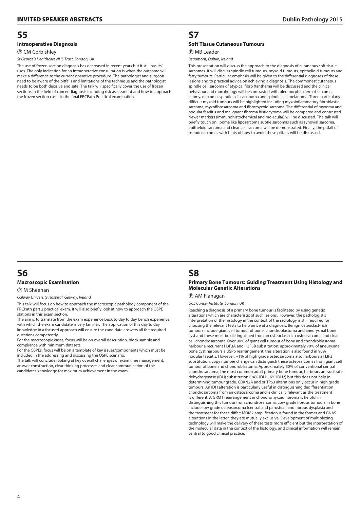#### **Intraoperative Diagnosis**

P CM Corbishley

*St George's Healthcare NHS Trust, London, UK*

The use of frozen section diagnosis has decreased in recent years but it still has its' uses. The only indication for an intraoperative consultation is when the outcome will make a difference to the current operative procedure. The pathologist and surgeon need to be aware of the pitfalls and limitations of the technique and the pathologist needs to be both decisive and safe. The talk will specifically cover the use of frozen sections in the field of cancer diagnosis including risk assessment and how to approach the frozen section cases in the final FRCPath Practical examination.

### **S7 Soft Tissue Cutaneous Tumours**

P MB Leader

*Beaumont, Dublin, Ireland*

This presentation will discuss the approach to the diagnosis of cutaneous soft tissue sarcomas. It will discuss spindle cell tumours, myxoid tumours, epithelioid tumours and fatty tumours. Particular emphasis will be given to the differential diagnoses of these lesions and to practical advice on achieving a diagnosis. The commonest cutaneous spindle cell sarcoma of atypical fibro Xanthema will be discussed and the clinical behaviour and morphology will be contrasted with pleomorphic dermal sarcoma, leiomyosarcoma, spindle cell carcinoma and spindle cell melanoma. Three particularly difficult myxoid tumours will be highlighted including myxoinflammatory fibroblastic sarcoma, myxofibrosarcoma and fibromyxoid sarcoma. The differential of myxoma and nodular fasciitis and malignant fibroma histiocytoma will be compared and contrasted. Newer markers (immunohistochemical and molecular) will be discussed. The talk will briefly touch on lipoma like liposarcoma subtle sarcomas such as synovial sarcoma, epitheloid sarcoma and clear cell sarcoma will be demonstrated. Finally, the pitfall of pseudosarcomas with hints of how to avoid these pitfalls will be discussed.

#### **S6 Macroscopic Examination**

#### P M Sheehan

*Galway University Hospital, Galway, Ireland*

This talk will focus on how to approach the macroscopic pathology component of the FRCPath part 2 practical exam. It will also briefly look at how to approach the OSPE stations in this exam section.

The aim is to translate from the exam experience back to day to day bench experience with which the exam candidate is very familiar. The application of this day to day knowledge in a focused approach will ensure the candidate answers all the required questions competently.

For the macroscopic cases, focus will be on overall description, block sample and compliance with minimum datasets.

For the OSPEs, focus will be on a template of key issues/components which must be included in the addressing and discussing the OSPE scenario.

The talk will conclude looking at key overall challenges of exam time management, answer construction, clear thinking processes and clear communication of the candidates knowledge for maximum achievement in the exam.

### **S8**

#### **Primary Bone Tumours: Guiding Treatment Using Histology and Molecular Genetic Alterations**

P AM Flanagan

#### *UCL Cancer Institute, London, UK*

Reaching a diagnosis of a primary bone tumour is facilitated by using genetic alterations which are characteristic of such lesions. However, the pathologist's interpretation of the histology in the context of the radiology is still required for choosing the relevant tests to help arrive at a diagnosis. Benign osteoclast-rich tumours include giant cell tumour of bone, chondroblastoma and aneurysmal bone cyst and these must be distinguished from an osteoclast-rich osteosarcoma and clear cell chondrosarcoma. Over 90% of giant cell tumour of bone and chondroblastoma harbour a recurrent H3F3A and H3F3B substitution: approximately 70% of aneurysmal bone cyst harbours a USP6 rearrangement: this alteration is also found in 90% nodular fasciitis. However, ~1% of high grade osteosarcoma also harbours a H3F3 substitution: copy number change can distinguish these osteosarcomas from giant cell tumour of bone and chondroblastoma. Approximately 50% of conventional central chondrosarcoma, the most common adult primary bone tumour, harbours an isocitrate dehydrogenase (IDH) substitution (94% IDH1, 6% IDH2) but this does not help in determining tumour grade. CDKN2A and or TP53 alterations only occur in high grade tumours. An IDH alteration is particularly useful in distinguishing dedifferentiation chondrosarcoma from an osteosarcoma and is clinically relevant as the treatment is different. A GRM1 rearrangement in chondromyxoid fibroma is helpful in distinguishing this tumour from chondrosarcoma. Low grade fibrous tumours in bone include low grade osteosarcoma (central and parosteal) and fibrous dysplasia and the treatment for these differ: MDM2 amplification is found in the former and GNAS alterations in the latter: they are mutually exclusive. Development of multiplexing technology will make the delivery of these tests more efficient but the interpretation of the molecular data in the context of the histology, and clinical information will remain central to good clinical practice.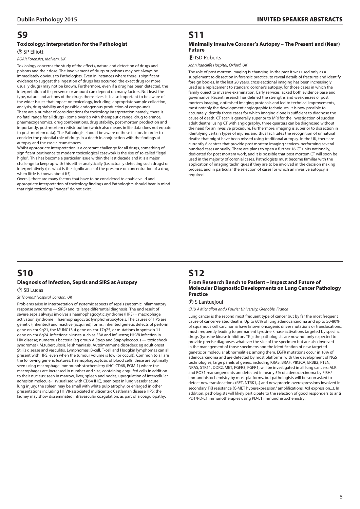#### **Toxicology: Interpretation for the Pathologist**

P SP Elliott

*ROAR Forensics, Malvern, UK*

Toxicology concerns the study of the effects, nature and detection of drugs and poisons and their dose. The involvement of drugs or poisons may not always be immediately obvious to Pathologists. Even in instances where there is significant evidence to suggest the ingestion of drugs has occurred, the exact drug (or more usually drugs) may not be known. Furthermore, even if a drug has been detected, the interpretation of its presence or amount can depend on many factors. Not least the type, nature and actions of the drugs themselves. It is also important to be aware of the wider issues that impact on toxicology, including; appropriate sample collection, analysis, drug stability and possible endogenous production of compounds. There are a number of considerations for toxicology interpretation namely; there is no fatal range for all drugs - some overlap with therapeutic range, drug tolerance, pharmacogenomics, drug combinations, drug stability, post-mortem production and importantly, post-mortem redistribution (which also means in life data does not equate to post-mortem data). The Pathologist should be aware of these factors in order to consider the potential role of drugs in a death in conjunction with the findings at autopsy and the case circumstances.

Whilst appropriate interpretation is a constant challenge for all drugs, something of significant pertinence to modern toxicological casework is the rise of so-called "legal highs". This has become a particular issue within the last decade and it is a major challenge to keep up with this either analytically (i.e. actually detecting such drugs) or interpretatively (i.e. what is the significance of the presence or concentration of a drug when little is known about it?).

Overall, there are many factors that have to be considered to enable valid and appropriate interpretation of toxicology findings and Pathologists should bear in mind that rigid toxicology "ranges" do not exist.

#### **S10 Diagnosis of Infection, Sepsis and SIRS at Autopsy**

P SB Lucas

#### *St Thomas' Hospital, London, UK*

Problems arise in interpretation of systemic aspects of sepsis (systemic inflammatory response syndrome — SIRS) and its large differential diagnosis. The end result of severe sepsis always involves a haemophagocytic syndrome (HPS) = macrophage activation syndrome = haemophagocytic lymphohistiocytosis. The causes of HPS are genetic (inherited) and reactive (acquired) forms: Inherited genetic defects of perforin gene on chr 9q21, the MUNC13-4 gene on chr 17q25, or mutations in syntaxin 11 gene on chr 6q24. Infections: viruses such as EBV and influenza; HHV8 infection in HIV disease; numerous bacteria (eg group A Strep and Staphylococcus — toxic shock syndromes), M.tuberculosis; leishmaniasis. Autoimmmune disorders: eg adult onset Still's disease and vasculitis. Lymphomas: B-cell, T-cell and Hodgkin lymphomas can all present with HPS, even when the tumour volume is low (or occult); Common to all are the following generic features: haemophagocytosis of blood cells: these are optimally seen using macrophage immmunohistochemistry (IHC: CD68, PGM-1) where the macrophages are increased in number and size, containing engulfed cells in addition to their nucleus; seen in marrow, liver, spleen and nodes; upregulation of intercellular adhesion molecule-1 (visualised with CD54 IHC), seen best in lung vessels; acute lung injury; the spleen may be small with white pulp atrophy, or enlarged in other presentations including HHV8-associated multicentric Castleman disease HPS; the kidney may show disseminated intravascular coagulation, as part of a coagulopathy.

### **S11**

#### **Minimally Invasive Coroner's Autopsy – The Present and (Near) Future**

#### P ISD Roberts

*John Radcliffe Hospital, Oxford, UK*

The role of post mortem imaging is changing. In the past it was used only as a supplement to dissection in forensic practice, to reveal details of fractures and identify foreign bodies. In the last 20 years, cross-sectional imaging has been increasingly used as a replacement to standard coroner's autopsy, for those cases in which the family object to invasive examination. Early services lacked both evidence base and governance. Recent research has defined the strengths and weaknesses of post mortem imaging, optimised imaging protocols and led to technical improvements, most notably the development angiographic techniques. It is now possible to accurately identify those cases for which imaging alone is sufficient to diagnose the cause of death. CT scan is generally superior to MRI for the investigation of sudden adult deaths; using CT with angiography, three quarters can be diagnosed without the need for an invasive procedure. Furthermore, imaging is superior to dissection in identifying certain types of injuries and thus facilitates the recognition of unnatural deaths that might have been missed using traditional autopsy. In the UK, there are currently 6 centres that provide post mortem imaging services, performing several hundred cases annually. There are plans to open a further 16 CT units nationally, dedicated for post mortem work, and it is possible that post mortem CT will soon be used in the majority of coronial cases. Pathologists must become familiar with the application of imaging techniques if they are to be involved in the decision making process, and in particular the selection of cases for which an invasive autopsy is required.

### **S12**

#### **From Research Bench to Patient – Impact and Future of Molecular Diagnostic Developments on Lung Cancer Pathology Practice**

#### P S Lantuejoul

*CHU A Michallon and J Fourier University, Grenoble, France*

Lung cancer is the second most frequent type of cancer but by far the most frequent cause of cancer-related deaths. Up to 60% of lung adenocarcinoma and up to 50-80% of squamous cell carcinoma have known oncogenic driver mutations or translocations, most frequently leading to permanent tyrosine kinase activations targeted by specific drugs (tyrosine kinase inhibitors TKI); the pathologists are now not only expected to provide precise diagnoses whatever the size of the specimen but are also involved in the management of those specimens and the identification of new targeted genetic or molecular abnormalities; among them, EGFR mutations occur in 10% of adenocarcinoma and are detected by most platforms; with the development of NGS technologies, large panels of genes, including KRAS, BRAF, PIK3CA, ERBB2, PTEN, NRAS, STK11, DDR2, MET, FGFR3, FGFR1, will be investigated in all lung cancers; ALK and ROS1 rearrangements are detected in nearly 5% of adenocarcinoma by FISH/ immunohistochemistry by most platforms, but pathologists will be soon asked to detect new translocations (RET, NTRK1,..) and new protein overexpressions involved in secondary TKI resistance (C-MET hyperexpression/ amplifications, Axl expression,..). In addition, pathologists will likely participate to the selection of good responders to anti PD1/PD-L1 immunotherapies using PD-L1 immunohistochemistry.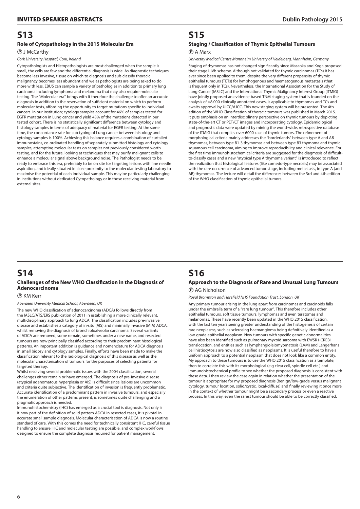#### **Role of Cytopathology in the 2015 Molecular Era**

P J McCarthy

*Cork University Hospital, Cork, Ireland*

Cytopathologists and Histopathologists are most challenged when the sample is small, the cells are few and the differential diagnosis is wide. As diagnostic techniques become less invasive, tissue on which to diagnosis and sub-classify thoracic malignancy becomes less abundant and we as pathologists are being asked to do more with less. EBUS can sample a variety of pathologies in addition to primary lung carcinoma including lymphoma and melanoma that may also require molecular testing. The "Molecular era" brings with it therefore the challenge to offer an accurate diagnosis in addition to the reservation of sufficient material on which to perform molecular tests, affording the opportunity to target mutations specific to individual cancers. In our institution; cytology samples account for 46% of samples tested for EGFR mutatation in Lung cancer and yield 43% of the mutations detected in our tested cohort. There is no statistically significant difference between cytology and histology samples in terms of adequacy of material for EGFR testing. At the same time, the concordance rate for sub typing of Lung cancer between histology and cytology samples is 100%. Achieving this balance requires a combination of curtailed immunostains, co-ordinated handling of separately submitted histology and cytology samples, attempting molecular tests on samples not previously considered worth testing, and for the future, looking at techniques that may purify malignant cells to enhance a molecular signal above background noise. The Pathologist needs to be ready to embrace this era, preferably to be on site for targeting lesions with fine needle aspiration, and ideally situated in close proximity to the molecular testing laboratory to maximise the potential of each individual sample. This may be particularly challenging in institutions without dedicated Cytopathology or in those receiving material from external sites.

#### **S14 Challenges of the New WHO Classification in the Diagnosis of Adenocarcinoma**

P KM Kerr

*Aberdeen University Medical School, Aberdeen, UK*

The new WHO classification of adenocarcinoma (ADCA) follows directly from the IASLC/ATS/ERS publication of 2011 in establishing a more clinically relevant, multidisciplinary approach to lung ADCA. The classification includes pre-invasive disease and establishes a category of in-situ (AIS) and minimally invasive (MIA) ADCA, whilst removing the diagnosis of bronchioloalveolar carcinoma. Several variants of ADCA are removed, some remain, sometimes under a new name, and resected tumours are now principally classified according to their predominant histological patterns. An important addition is guidance and nomenclature for ADCA diagnosis in small biopsy and cytology samples. Finally, efforts have been made to make the classification relevant to the radiological diagnosis of this disease as well as the molecular characterisation of tumours for the purposes of selecting patients for targeted therapy.

Whilst resolving several problematic issues with the 2004 classification, several challenges either remain or have emerged. The diagnosis of pre-invasive disease (atypical adenomatous hyperplasia or AIS) is difficult since lesions are uncommon and criteria quite subjective. The identification of invasion is frequently problematic. Accurate identification of a predominant pattern in invasive tumours, and especially the enumeration of other patterns present, is sometimes quite challenging and a pragmatic approach is needed.

Immunohistochemistry (IHC) has emerged as a crucial tool is diagnosis. Not only is it now part of the definition of solid pattern ADCA in resected cases, it is pivotal in accurate small sample diagnosis. Molecular characterisation of ADCA is now a routine standard of care. With this comes the need for technically consistent IHC, careful tissue handling to ensure IHC and molecular testing are possible, and complex workflows designed to ensure the complete diagnosis required for patient management.

### **S15 Staging / Classification of Thymic Epithelial Tumours**

#### P A Marx

*University Medical Centre Mannheim Universty of Heidelberg, Mannheim, Germany*

Staging of thymomas has not changed significantly since Masaoka and Koga proposed their stage I-IVb scheme. Although not validated for thymic carcinomas (TCs) it has ever since been applied to them, despite the very different propensity of thymic epithelial tumours (TETs) for lymphogenous and haematogenous metastasis (that is frequent only in TCs). Nevertheless, the International Association for the Study of Lung Cancer (IASLC) and the International Thymic Malignancy Interest Group (ITMIG) have jointly proposed an evidence-based TNM staging system that is founded on the analysis of >8.000 clinically annotated cases, is applicable to thymomas and TCs and awaits approval by UICC/AJCC. This new staging system will be presented. The 4th edition of the WHO Classification of thoracic tumours was published in March 2015. It puts emphasis on an interdisciplinary perspective on thymic tumours by depicting state-of-the-art CT or PET/CT images and incorporating cytology. Epidemiological and prognostic data were updated by mining the world-wide, retrospective database of the ITMIG that compiles over 6000 case of thymic tumors. The refinement of morphological criteria mainly addresses the "borderlands" between type A and AB thymomas, between type B1-3 thymomas and between type B3 thymoma and thymic squamous cell carcinoma, aiming to improve reproducibility and clinical relevance. For the first time immunohistochemical criteria are suggested for the diagmosis of difficultto-classify cases and a new "atypical type A thymoma variant" is introduced to reflect the realization that histological features (like comedo-type necrosis) may be associated with the rare occurrence of advanced tumor stage, including metastasis, in type A (and with the rare occurrence of advanced tumor stage, including metastasis, in type A (and AB) thymomas. The lecture will detail the differences between the 3rd and 4th edition of the WHO classification of thymic epithelial tumors.

### **S16**

#### **Approach to the Diagnosis of Rare and Unusual Lung Tumours** P AG Nicholson

*Royal Brompton and Harefield NHS Foundation Trust, London, UK*

Any primary tumour arising in the lung apart from carcinomas and carcinoids falls under the umbrella term of a "rare lung tumour". This therefore includes other epithelial tumours, soft tissue tumours, lymphomas and even teratomas and melanomas. These have recently been updated in the WHO 2015 classification, with the last ten years seeing greater understanding of the histogenesis of certain rare neoplasms, such as sclerosing haemangioma being definitively identified as a low-grade epithelial neoplasm. New tumours with specific genetic abnormalities have also been identified such as pulmonary myxoid sarcoma with EWSR1-CREB1 translocation, and entities such as lymphangioleiomyomatosis (LAM) and Langerhans cell histiocytosis are now also classified as neoplasms. It is useful therefore to have a uniform approach to a potential neoplasm that does not look like a common entity. My approach to these tumours is to use the WHO 2015 classification as a template, then to correlate this with its morphological (e.g clear cell, spindle cell etc.) and immunohistochemical profile to see whether the proposed diagnosis is consistent with these data. I then review the case again in relation whether the presentation of the tumour is appropriate for my proposed diagnosis (benign/low-grade versus malignant cytology, tumour location, solid/cystic, local/diffuse) and finally reviewing it once more in the context of whether tumour might be a secondary process or even a reactive process. In this way, even the rarest tumour should be able to be correctly classified.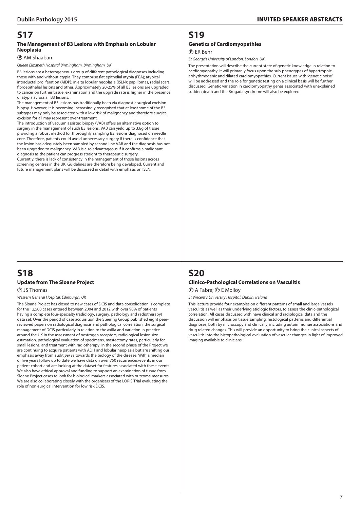#### **The Management of B3 Lesions with Emphasis on Lobular Neoplasia**

P AM Shaaban

*Queen Elizabeth Hospital Birmingham, Birmingham, UK*

B3 lesions are a heterogeneous group of different pathological diagnoses including those with and without atypia. They comprise flat epithelial atypia (FEA); atypical intraductal proliferation (AIDP); in-situ lobular neoplasia (ISLN); papillomas, radial scars, fibroepithelial lesions and other. Approximately 20-25% of all B3 lesions are upgraded to cancer on further tissue. examination and the upgrade rate is higher in the presence of atypia across all B3 lesions.

The management of B3 lesions has traditionally been via diagnostic surgical excision biopsy. However, it is becoming increasingly recognised that at least some of the B3 subtypes may only be associated with a low risk of malignancy and therefore surgical excision for all may represent over-treatment.

The introduction of vacuum assisted biopsy (VAB) offers an alternative option to surgery in the management of such B3 lesions. VAB can yield up to 3.6g of tissue providing a robust method for thoroughly sampling B3 lesions diagnosed on needle core. Therefore, patients could avoid unnecessary surgery if there is confidence that the lesion has adequately been sampled by second line VAB and the diagnosis has not been upgraded to malignancy. VAB is also advantageous if it confirms a malignant diagnosis as the patient can progress straight to therapeutic surgery.

Currently, there is lack of consistency in the management of those lesions across screening centres in the UK. Guidelines are therefore being developed. Current and future management plans will be discussed in detail with emphasis on ISLN.

### **S19**

### **Genetics of Cardiomyopathies**

P ER Behr

*St George's University of London, London, UK*

The presentation will describe the current state of genetic knowledge in relation to cardiomyopathy. It will primarily focus upon the sub-phenotypes of hypertrophic, arrhythmogenic and dilated cardiomyopathies. Current issues with 'genetic noise' will be addressed and the role for genetic testing on a clinical basis will be further discussed. Genetic variation in cardiomyopathy genes associated with unexplained sudden death and the Brugada syndrome will also be explored.

#### **S18 Update from The Sloane Project**

#### P JS Thomas

*Western General Hospital, Edinburgh, UK*

The Sloane Project has closed to new cases of DCIS and data consolidation is complete for the 12,500 cases entered between 2004 and 2012 with over 90% of patients having a complete four-specialty (radiology, surgery, pathology and radiotherapy) data set. Over the period of case acquisition the Steering Group published eight peerreviewed papers on radiological diagnosis and pathological correlation, the surgical management of DCIS particularly in relation to the axilla and variation in practice around the UK in the assessment of oestrogen receptors, radiological lesion size estimation, pathological evaluation of specimens, mastectomy rates, particularly for small lesions, and treatment with radiotherapy. In the second phase of the Project we are continuing to acquire patients with ADH and lobular neoplasia but are shifting our emphasis away from audit *per se* towards the biology of the disease. With a median of five years follow up to date we have data on over 750 recurrences/events in our patient cohort and are looking at the dataset for features associated with these events. We also have ethical approval and funding to support an examination of tissue from Sloane Project cases to look for biological markers associated with outcome measures. We are also collaborating closely with the organisers of the LORIS Trial evaluating the role of non-surgical intervention for low risk DCIS.

### **S20**

#### **Clinico-Pathological Correlations on Vasculitis**

 $\circledR$  A Fabre;  $\circledR$  E Molloy

*St Vincent's University Hospital, Dublin, Ireland*

This lecture provide four examples on different patterns of small and large vessels vasculitis as well as their underlying etiologic factors, to assess the clinic-pathological correlation. All cases discussed with have clinical and radiological data and the discussion will emphasis on tissue sampling, histological patterns and differential diagnoses, both by microscopy and clinically, including autoimmunue associations and drug related changes. This will provide an opportunity to bring the clinical aspects of vasculitis into the histopathological evaluation of vascular changes in light of improved imaging available to clinicians.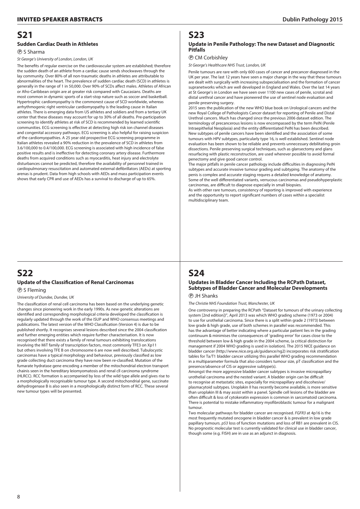#### P S Sharma

#### *St George's University of London, London, UK*

The benefits of regular exercise on the cardiovascular system are established; therefore the sudden death of an athlete from a cardiac cause sends shockwaves through the lay community. Over 80% of all non-traumatic deaths in athletes are attributable to abnormalities of the heart. The prevalence of sudden cardiac death (SCD) in athletes is generally in the range of 1 in 50,000. Over 90% of SCDs affect males. Athletes of African or Afro-Caribbean origin are at greater risk compared with Caucasians. Deaths are most common in dynamic sports of a start-stop nature such as soccer and basketball. Hypertrophic cardiomyopathy is the commonest cause of SCD worldwide, whereas arrhythmogenic right ventricular cardiomyopathy is the leading cause in Italian athletes. There is emerging data from US athletes and soldiers and from a tertiary UK center that these diseases may account for up to 30% of all deaths. Pre-participation screening to identify athletes at risk of SCD is recommended by learned scientific communities. ECG screening is effective at detecting high risk ion channel diseases and congenital accessory pathways. ECG screening is also helpful for raising suspicion of the cardiomyopathies. A 25 year old prospective ECG screening programme in Italian athletes revealed a 90% reduction in the prevalence of SCD in athletes from 3.6/100,000 to 0.4/100,000. ECG screening is associated with high incidence of false positive results and is ineffective for detecting coronary artery disease. Furthermore deaths from acquired conditions such as myocarditis, heat injury and electrolyte disturbances cannot be predicted, therefore the availability of personnel trained in cardiopulmonary resuscitation and automated external defibrillators (AEDs) at sporting arenas is prudent. Data from high schools with AEDs and mass participation events shows that early CPR and use of AEDs has a survival to discharge of up to 65%.

#### **S22 Update of the Classification of Renal Carcinomas**

#### P S Fleming

#### *University of Dundee, Dundee, UK*

The classification of renal cell carcinoma has been based on the underlying genetic changes since pioneering work in the early 1990s. As new genetic alterations are identified and corresponding morphological criteria developed the classification is regularly updated through the work of the ISUP and WHO consensus meetings and publications. The latest version of the WHO Classification (Version 4) is due to be published shortly. It recognises several lesions described since the 2004 classification and further emerging entities which require further characterisation. It is now recognised that there exists a family of renal tumours exhibiting translocations involving the MiT family of transcription factors, most commonly TFE3 on Xp11 but others involving TFE B on chromosome 6 are now well described. Tubulocystic carcinomas have a typical morphology and behaviour, previously classified as low grade collecting duct carcinoma they have now been re-classified. Mutation of the fumarate hydratase gene encoding a member of the mitochondrial electron transport chainis seen in the hereditary leiomyomatosis and renal cll carcinoma syndrome (HLRCC). RCC formation is accompanied by loss of the wild type allele and gives rise to a morphologically recognisable tumour type. A second mitochondrial gene, succinate dehydrogenase B is also seen in a morphologically distinct form of RCC. These several new tumour types will be presented.

### **S23**

#### **Update in Penile Pathology: The new Dataset and Diagnostic Pitfalls**

#### P CM Corbishley

*St George's Healthcare NHS Trust, London, UK*

Penile tumours are rare with only 600 cases of cancer and precancer diagnosed in the UK per year. The last 12 years have seen a major change in the way that these tumours are dealt with surgically with increasing subspecialisation and the formation of cancer supranetworks which are well developed in England and Wales. Over the last 14 years at St George's in London we have seen over 1100 new cases of penile, scrotal and distal urethral cancer and have pioneered the use of sentinel node evaluation and penile preserving surgery.

2015 sees the publication of the new WHO blue book on Urological cancers and the new Royal College of Pathologists Cancer dataset for reporting of Penile and Distal Urethral cancers. Much has changed since the previous 2006 dataset edition. The terminology of precancerous lesions is now encompassed by the term PeIN (Penile Intraepithelial Neoplasia) and the entity differentiated PeIN has been described. New subtypes of penile cancers have been identified and the association of some tumours with HPV subtypes, particularly type 16, is well established. Sentinel node evaluation has been shown to be reliable and prevents unnecessary debilitating groin dissections. Penile preserving surgical techniques, such as glansectomy and glans resurfacing with plastic reconstruction, are used wherever possible to avoid formal penectomy and give good cancer control.

The major pitfalls in penile cancer pathology include difficulties in diagnosing PeIN subtypes and accurate invasive tumour grading and subtyping. The anatomy of the penis is complex and accurate staging requres a detailed knowledge of anatomy. Some of the well differentiated variants, verrucous carcinomas and pseudohyperplastic carcinomas, are difficult to diagnose especially in small biopsies.

As with other rare tumours, consistency of reporting is improved with experience and the opportunity to report significant numbers of cases within a specialist multidisciplinary team.

### **S24**

#### **Updates in Bladder Cancer Including the RCPath Dataset, Subtypes of Bladder Cancer and Molecular Developments** P JH Shanks

*The Christie NHS Foundation Trust, Manchester, UK*

One controversy in preparing the RCPath "Dataset for tumours of the urinary collecting system [2nd edition])", April 2013 was which WHO grading scheme (1973 or 2004) to use for urothelial carcinoma. Since there is a split within grade 2 (1973) between low grade & high grade, use of both schemes in parallel was recommended. This has the advantage of better indicating where a particular patient lies in the grading continuum & minimises the consequences of 'grading error' for cases close to the threshold between low & high grade in the 2004 scheme, (a critical distinction for management if 2004 WHO grading is used in isolation). The 2015 NICE guidance on bladder cancer (http://www.nice.org.uk/guidance/ng2) incorporates risk stratification tables for Ta/T1 bladder cancer utilizing this parallel WHO grading recommendation in a multiparameter formula that also considers tumour size, pT classification and the presence/absence of CIS or aggressive subtype(s).

Amongst the more aggressive bladder cancer subtypes is invasive micropapillary urothelial carcinoma and the nested variant. A bladder origin can be difficult to recognise at metastatic sites, especially for micropapillary and discohesive/ plasmacytoid subtypes. Uroplakin II has recently become available, is more sensitive than uroplakin III & may assist within a panel. Spindle cell lesions of the bladder are often difficult & loss of cytokeratin expression is common in sarcomatoid carcinoma. There is potential to mistake inflammatory myofibroblastic tumour for a malignant tumour.

Two molecular pathways for bladder cancer are recognised. *FGFR3* at 4p16 is the most frequently mutated oncogene in bladder cancer & is prevalent in low grade papillary tumours. *p53* loss of function mutations and loss of RB1 are prevalent in CIS. No prognostic molecular test is currently validated for clinical use in bladder cancer, though some (e.g. FISH) are in use as an adjunct in diagnosis.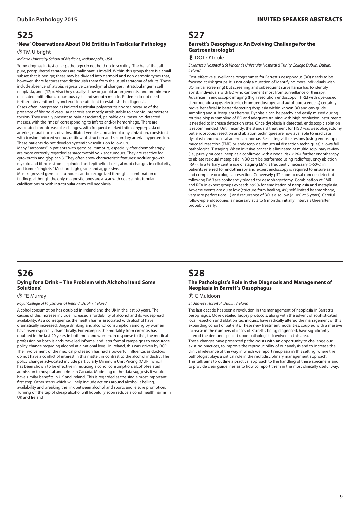### **'New' Observations About Old Entities in Testicular Pathology**

P TM Ulbright

*Indiana University School of Medicine, Indianapolis, USA*

Some dogmas in testicular pathology do not hold up to scrutiny. The belief that all pure, postpubertal teratomas are malignant is invalid. Within this group there is a small subset that is benign; these may be divided into dermoid and non-dermoid types that, however, share features that distinguish them from the usual teratoma of adults. These include absence of: atypia, regressive parenchymal changes, intratubular germ cell neoplasia, and i(12p). Also they usually show organoid arrangements, and prominence of ciliated epithelium, squamous cysts and smooth muscle. Patients do not need further intervention beyond excision sufficient to establish the diagnosis. Cases often interpreted as isolated testicular polyarteritis nodosa because of the presence of fibrinoid vascular necrosis are mostly attributable to chronic, intermittent torsion. They usually present as pain-associated, palpable or ultrasound-detected masses, with the "mass" corresponding to infarct and/or hemorrhage. There are associated chronic vascular changes, with frequent marked intimal hyperplasia of arteries, mural fibrosis of veins, dilated venules and arteriolar hyalinization, consistent with torsion-induced venous outflow obstruction and secondary arterial hypertension. These patients do not develop systemic vasculitis on follow-up.

Many "sarcomas" in patients with germ cell tumours, especially after chemotherapy, are more correctly regarded as sarcomatoid yolk sac tumours. They are reactive for cytokeratin and glypican 3. They often show characteristic features: nodular growth, myxoid and fibrous stroma, spindled and epithelioid cells, abrupt changes in cellularity, and tumor "ringlets." Most are high grade and aggressive.

Most regressed germ cell tumours can be recognized through a combination of findings, although the only diagnostic ones are a scar with coarse intratubular calcifications or with intratubular germ cell neoplasia.

#### **S26 Dying for a Drink – The Problem with Alchohol (and Some Solutions)**

P FE Murray

#### *Royal College of Physicians of Ireland, Dublin, Ireland*

Alcohol consumption has doubled in Ireland and the UK in the last 60 years. The causes of this increase include increased affordability of alcohol and its widespread availability. As a consequence, the health harms associated with alcohol have dramatically increased. Binge drinking and alcohol consumption among by women have risen especially dramatically. For example, the mortality from cirrhosis has doubled in the last 20 years in both men and women. In response to this, the medical profession on both islands have led informal and later formal campaigns to encourage policy change regarding alcohol at a national level. In Ireland, this was driven by RCPI. The involvement of the medical profession has had a powerful influence, as doctors do not have a conflict of interest in this matter, in contrast to the alcohol industry. The policy changes advocated include particularly Minimum Unit Pricing (MUP), which has been shown to be effective in reducing alcohol consumption, alcohol-related admission to hospital and crime in Canada. Modelling of the data suggests it would have similar benefits in UK and Ireland. This is regarded as the single most important first step. Other steps which will help include actions around alcohol labelling, availability and breaking the link between alcohol and sports and leisure promotion. Turning off the tap of cheap alcohol will hopefully soon reduce alcohol health harms in UK and Ireland

### **S27**

#### **Barrett's Oesophagus: An Evolving Challenge for the Gastroenterologist**

P DOT O'Toole

*St James's Hospital & St Vincent's University Hospital & Trinity College Dublin, Dublin, Ireland*

Cost-effective surveillance programmes for Barrett's oesophagus (BO) needs to be focused at risk groups. It is not only a question of identifying more individuals with BO (initial screening) but screening and subsequent surveillance has to identify at-risk individuals with BO who can benefit most from surveillance or therapy. Advances in endoscopic imaging (high resolution endoscopy ([HRE] with dye-based chromoendoscopy, electronic chromoendoscopy, and autofluorescence,...) certainly prove beneficial in better detecting dysplasia within known BO and can guide sampling and subsequent therapy. Dysplasia can be patchy and easily missed during routine biopsy sampling of BO and adequate training with high resolution instruments is needed to increase detection rates. Once dysplasia is detected, endoscopic ablation is recommended. Until recently, the standard treatment for HGD was oesophagectomy but endoscopic resection and ablation techniques are now available to eradicate dysplasia and mucosal adenocarcinomas. Resecting visible lesions (using endoscopic mucosal resection [EMR] or endoscopic submucosal dissection techniques) allows full pathological T staging. When invasive cancer is eliminated at multidisciplinary review (i.e., purely mucosal neoplasia confirmed with a nodal risk <2%), further endotherapy to ablate residual metaplasia in BO can be performed using radiofrequency ablation (RAF). In a tertiary centre use of staging EMR is frequently necessary (>60%) in patients referred for endotherapy and expert endoscopy is required to ensure safe and complete oncological resection. Conversely pT1 submucosal cancers detected following EMR are confidently triaged for oesophagectomy. Combination of EMR and RFA in expert groups exceeds >95% for eradication of neoplasia and metaplasia. Adverse events are quite low (stricture form healing, 4%; self-limited haemorrhage, very rare perforations ...) and recurrence of BO is also low (<10% at 5 years). Careful follow-up endoscopies is necessary at 3 to 6 months initially; intervals theerafter probably yearly.

### **S28**

#### **The Pathologist's Role in the Diagnosis and Management of Neoplasia in Barrett's Oesophagus**

P C Muldoon

#### *St. James's Hospital, Dublin, Ireland*

The last decade has seen a revolution in the management of neoplasia in Barrett's oesophagus. More detailed biopsy protocols, along with the advent of sophisticated local resection and ablation techniques, have radically altered the management of this expanding cohort of patients. These new treatment modalities, coupled with a massive increase in the numbers of cases of Barrett's being diagnosed, have significantly altered the demands placed upon pathologists involved in this area. These changes have presented pathologists with an opportunity to challenge our existing practices, to improve the reproducibility of our analysis and to increase the clinical relevance of the way in which we report neoplasia in this setting, where the pathologist plays a critical role in the multidisciplinary management approach. This talk aims to outline a practical approach to the handling of these specimens and to provide clear guidelines as to how to report them in the most clinically useful way.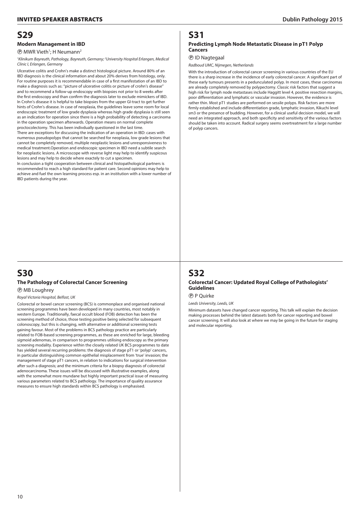#### **Modern Management in IBD**

#### *<b>P* MWR Vieth<sup>1</sup>; H Neumann<sup>2</sup>

*1 Klinikum Bayreuth, Pathology, Bayreuth, Germany; 2 University Hospital Erlangen, Medical Clinic I, Erlangen, Germany*

Ulcerative colitis and Crohn's make a distinct histological picture. Around 80% of an IBD diagnosis is the clinical information and about 20% derives from histology, only. For routine purposes it is recommendable in case of a first manifestation of an IBD to make a diagnosis such as: "picture of ulcerative colitis or picture of crohn's disease" and to recommend a follow-up endoscopy with biopsies not prior to 8 weeks after the first endoscopy and than confirm the diagnosis later to exclude mimickers of IBD. In Crohn's disease it is helpful to take biopsies from the upper GI-tract to get further hints of Crohn's disease. In case of neoplasia, the guidelines leave some room for local endoscopic treatment of low grade dysplasia whereas high grade dysplasia is still seen as an indication for operation since there is a high probability of detecting a carcinoma in the operation specimen afterwards. Operation means on normal complete proctocolectomy. This has been indivdually questioned in the last time. There are exceptions for discussing the indication of an operation in IBD: cases with numerous pseudopolyps that cannot be searched for neoplasia, low grade lesions that cannot be completely removed, multiple neoplastic lesions and unresponsiveness to medical treatment.Operation and endoscopic specimen in IBD need a subtile search for neoplastic lesions. A microscope with reverse light may help to identify suspicous lesions and may help to decide where exactely to cut a specimen. In conclusion a tight cooperation between clinical and histopathological partners is

recommended to reach a high standard for patient care. Second opinions may help to achieve and fuel the own learning process esp. in an institution with a lower number of IBD patients during the year.

### **S31**

#### **Predicting Lymph Node Metastatic Disease in pT1 Polyp Cancers**

#### P ID Nagtegaal

*Radboud UMC, Nijmegen, Netherlands*

With the introduction of colorectal cancer screening in various countries of the EU there is a sharp increase in the incidence of early colorectal cancer. A significant part of these early tumours presents in a pedunculated polyp. In most cases, these carcinomas are already completely removed by polypectomy. Classic risk factors that suggest a high risk for lymph node metastases include Haggitt level 4, positive resection margins, poor differentiation and lymphatic or vascular invasion. However, the evidence is rather thin. Most pT1 studies are performed on sessile polyps. Risk factors are more firmly established and include differentiation grade, lymphatic invasion, Kikuchi level sm3 or the presence of budding. However, for a clinical useful decision model, we will need an integrated approach, and both specificity and sensitivity of the various factors should be taken into account. Radical surgery seems overtreatment for a large number of polyp cancers.

#### **S30 The Pathology of Colorectal Cancer Screening**

P MB Loughrey

*Royal Victoria Hospital, Belfast, UK*

Colorectal or bowel cancer screening (BCS) is commonplace and organised national screening programmes have been developed in many countries, most notably in western Europe. Traditionally, faecal occult blood (FOB) detection has been the screening method of choice, those testing positive being selected for subsequent colonoscopy, but this is changing, with alternative or additional screening tests gaining favour. Most of the problems in BCS pathology practice are particularly related to FOB-based screening programmes, as these are enriched for large, bleeding sigmoid adenomas, in comparison to programmes utilising endoscopy as the primary screening modality. Experience within the closely related UK BCS programmes to date has yielded several recurring problems: the diagnosis of stage pT1 or 'polyp' cancers, in particular distinguishing common epithelial misplacement from 'true' invasion; the management of stage pT1 cancers, in relation to indications for surgical intervention after such a diagnosis; and the minimum criteria for a biopsy diagnosis of colorectal adenocarcinoma. These issues will be discussed with illustrative examples, along with the somewhat more mundane but highly important practical issue of measuring various parameters related to BCS pathology. The importance of quality assurance measures to ensure high standards within BCS pathology is emphasised.

### **S32**

#### **Colorectal Cancer: Updated Royal College of Pathologists' Guidelines**

#### P P Quirke

*Leeds University, Leeds, UK*

Minimum datasets have changed cancer reporting. This talk will explain the decision making processes behind the latest datasets both for cancer reporting and bowel cancer screening. It will also look at where we may be going in the future for staging and molecular reporting.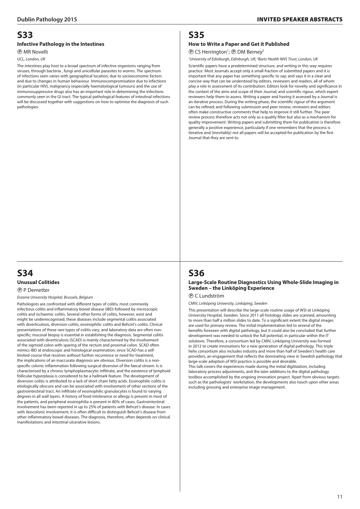#### **S33 Infective Pathology in the Intestines**

P MR Novelli

*UCL, London, UK*

The intestines play host to a broad spectrum of infective organisms ranging from viruses, through bacteria , fungi and unicellular parasites to worms. The spectrum of infections seen varies with geographical location, due to socioeconomic factors and due to changes in human behaviour. Immunocompromisation due to infections (in particular HIV), malignancy (especially haematological tumours) and the use of immunosuppressive drugs also has an important role in determining the infections commonly seen in the GI tract. The typical pathological features of intestinal infections will be discussed together with suggestions on how to optimise the diagnosis of such pathologies.

### **S35**

#### **How to Write a Paper and Get it Published**

**(B)** CS Herrington<sup>1</sup>; **(B)** DM Berney<sup>2</sup>

*1 University of Edinburgh, Edinburgh, UK; 2 Barts Health NHS Trust, London, UK*

Scientific papers have a predetermined structure, and writing in this way requires practice. Most Journals accept only a small fraction of submitted papers and it is important that any paper has something specific to say; and says it in a clear and concise way that can be understood by editors, reviewers and readers, all of whom play a role in assessment of its contribution. Editors look for novelty and significance in the context of the aims and scope of their Journal; and scientific rigour, which expert reviewers help them to assess. Writing a paper and having it assessed by a Journal is an iterative process. During the writing phase, the scientific rigour of the argument can be refined; and following submission and peer review, reviewers and editors often make constructive comments that help to improve it still further. The peer review process therefore acts not only as a quality filter but also as a mechanism for quality improvement. Writing papers and submitting them for publication is therefore generally a positive experience, particularly if one remembers that the process is iterative and (inevitably) not all papers will be accepted for publication by the first Journal that they are sent to.

#### **S34 Unusual Colitides**

#### P P Demetter

*Erasme University Hospital, Brussels, Belgium*

Pathologists are confronted with different types of colitis, most commonly infectious colitis and inflammatory bowel disease (IBD) followed by microscopic colitis and ischaemic colitis. Several other forms of colitis, however, exist and might be underrecognised; these diseases include segmental colitis associated with diverticulosis, diversion colitis, eosinophilic colitis and Behcet's colitis. Clinical presentations of these rare types of colitis vary, and laboratory data are often nonspecific; mucosal biopsy is essential in establishing the diagnosis. Segmental colitis associated with diverticulosis (SCAD) is mainly characterised by the involvement of the sigmoid colon with sparing of the rectum and proximal colon. SCAD often mimics IBD at endoscopic and histological examination; since SCAD has a selflimited course that resolves without further recurrence or need for treatment, the implications of an inaccurate diagnosis are obvious. Diversion colitis is a nonspecific colonic inflammation following surgical diversion of the faecal stream. Is is characterised by a chronic lymphoplasmacytic infiltrate, and the existence of lymphoid follicular hyperplasia is considered to be a hallmark feature. The development of diversion colitis is attributed to a lack of short chain fatty acids. Eosinophilic colitis is etiologically obscure and can be associated with involvement of other sections of the gastrointestinal tract. An infiltrate of eosinophilic granulocytes is found to varying degrees in all wall layers. A history of food intolerance or allergy is present in most of the patients, and peripheral eosinophilia is present in 80% of cases. Gastrointestinal involvement has been reported in up to 25% of patients with Behcet's disease. In cases with ileocolonic involvement, it is often difficult to distinguish Behcet's disease from other inflammatory bowel diseases. The diagnosis, therefore, often depends on clinical manifestations and intestinal ulcerative lesions.

### **S36**

#### **Large-Scale Routine Diagnostics Using Whole-Slide Imaging in Sweden – the Linköping Experience**

P C Lundström

#### *CMIV, Linköping University, Linköping, Sweden*

This presentation will describe the large-scale routine usage of WSI at Linköping University Hospital, Sweden. Since 2011 all histology slides are scanned, amounting to more than half a million slides to date. To a significant extent the digital images are used for primary review. The initial implementation led to several of the benefits foreseen with digital pathology, but it could also be concluded that further development was needed to unlock the full potential, in particular within the IT solutions. Therefore, a consortium led by CMIV, Linköping University was formed in 2012 to create innovations for a new generation of digital pathology. This triple helix consortium also includes industry and more than half of Sweden's health care providers, an engagement that reflects the dominating view in Swedish pathology that large-scale adoption of WSI practice is possible and desirable.

This talk covers the experiences made during the initial digitization, including laboratory process adjustments, and the later additions to the digital pathology toolbox accomplished by the ongoing innovation project. Apart from obvious targets such as the pathologists' workstation, the developments also touch upon other areas including grossing and enterprise image management.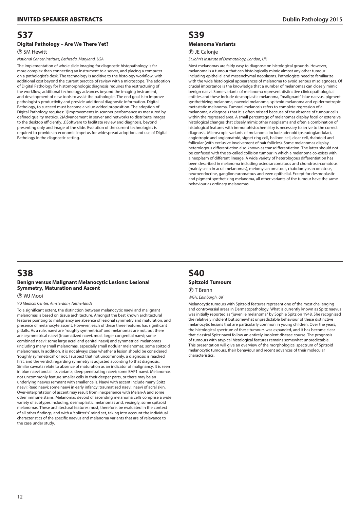#### **Digital Pathology – Are We There Yet?**

#### P SM Hewitt

*National Cancer Institute, Bethesda, Maryland, USA*

The implementation of whole slide imaging for diagnostic histopathology is far more complex than connecting an instrument to a server, and placing a computer on a pathologist's desk. The technology is additive to the histology workflow, with additional cost beyond the current practice of review with a microscope. The adoption of Digital Pathology for histomorphologic diagnosis requires the restructuring of the workflow, additional technology advances beyond the imaging instrument, and development of new tools to assist the pathologist. The end goal is to improve pathologist's productivity and provide additional diagnostic information. Digital Pathology, to succeed must become a value-added proposition. The adoption of Digital Pathology requires: 1)Improvements in scanner performance as measured by defined quality metrics. 2)Advancement in server and networks to distribute images to the desktop efficiently. 3)Software to facilitate review and diagnosis, beyond presenting only and image of the slide. Evolution of the current technologies is required to provide an economic impetus for widespread adoption and use of Digital Pathology in the diagnostic setting.

### **S38**

#### **Benign versus Malignant Melanocytic Lesions: Lesional Symmetry, Maturation and Ascent**

P WJ Mooi

#### *VU Medical Centre, Amsterdam, Netherlands*

To a significant extent, the distinction between melanocytic naevi and malignant melanomas is based on tissue architecture. Amongst the best known architectural features pointing to malignancy are absence of lesional symmetry and maturation, and presence of melanocyte ascent. However, each of these three features has significant pitfalls. As a rule, naevi are 'roughly symmetrical' and melanomas are not, but there are asymmetrical naevi (traumatized naevi, most larger congenital naevi; some combined naevi; some large acral and genital naevi) and symmetrical melanomas (including many small melanomas, especially small nodular melanomas; some spitzoid melanomas). In addition, it is not always clear whether a lesion should be considered 'roughly symmetrical' or not. I suspect that not uncommonly, a diagnosis is reached first, and the verdict regarding symmetry is adjusted according to that diagnosis. Similar caveats relate to absence of maturation as an indicator of malignancy. It is seen in blue naevi and all its variants; deep penetrating naevi; some BAP1 naevi. Melanomas not uncommonly feature smaller cells in their deeper parts, or there may be an underlying naevus remnant with smaller cells. Naevi with ascent include many Spitz naevi; Reed naevi; some naevi in early infancy; traumatized naevi; naevi of acral skin. Over-interpretation of ascent may result from inexperience with Melan-A and some other immune stains. Melanomas devoid of ascending melanoma cells comprise a wide variety of subtypes including, desmoplastic melanomas and, vexingly, some spitzoid melanomas. These architectural features must, therefore, be evaluated in the context of all other findings, and with a 'splitter's' mind set, taking into account the individual characteristics of the specific naevus and melanoma variants that are of relevance to the case under study.

#### **Melanoma Variants**

P JE Calonje

**S39**

*St John's Institute of Dermatology, London, UK*

Most melanomas are fairly easy to diagnose on histological grounds. However, melanoma is a tumour that can histologically mimic almost any other tumour including epithelial and mesenchymal neoplasms. Pathologists need to familiarize with the wide histological appearances of melanoma to avoid serious misdiagnoses. Of crucial importance is the knowledge that a number of melanomas can closely mimic benign naevi. Some variants of melanoma represent distinctive clinicopathological entities and these include desmoplastic melanoma, "malignant" blue naevus, pigment synthethizing melanoma, naevoid melanoma, spitzoid melanoma and epidermotropic metastatic melanoma. Tumoral melanosis refers to complete regression of a melanoma, a diagnosis that it is often missed because of the absence of tumour cells within the regressed area. A small percentage of melanomas display focal or extensive histological changes that closely mimic other neoplasms and often a combination of histological features with immunohistochemistry is necessary to arrive to the correct diagnosis. Microscopic variants of melanoma include adenoid (pseudoglandular), angiotropic and angiomatoid, signet ring cell, balloon cell, clear cell, rhabdoid and follicular (with exclusive involvement of hair follicles). Some melanomas display heterologous differentiation also known as transdifferentiation. The latter should not be confused with the so-called collision tumour in which a melanoma co-exists with a neoplasm of different lineage. A wide variety of heterologous differentiation has been described in melanoma including osteosarcomatous and chondrosarcomatous (mainly seen in acral melanomas), meiomysarcomatous, rhabdomyosarcomatous, neuroendocrine, ganglioneuromatous and even epithelial. Except for desmoplastic and pigment synthetizing melanoma, all other variants of the tumour have the same behaviour as ordinary melanomas.

## **S40**

#### **Spitzoid Tumours** P T Brenn

*WGH, Edinburgh, UK*

Melanocytic tumours with Spitzoid features represent one of the most challenging and controversial areas in Dermatopathology. What is currently known as Spitz naevus was initially reported as "juvenile melanoma" by Sophie Spitz on 1948. She recognized the relatively indolent but somewhat unpredictable behaviour of these distinctive melanocytic lesions that are particularly common in young children. Over the years, the histological spectrum of these tumours was expanded, and it has become clear that classical Spitz naevi follow an entirely indolent disease course. The prognosis of tumours with atypical histological features remains somewhat unpredictable. This presentation will give an overview of the morphological spectrum of Spitzoid melanocytic tumours, their behaviour and recent advances of their molecular characteristics.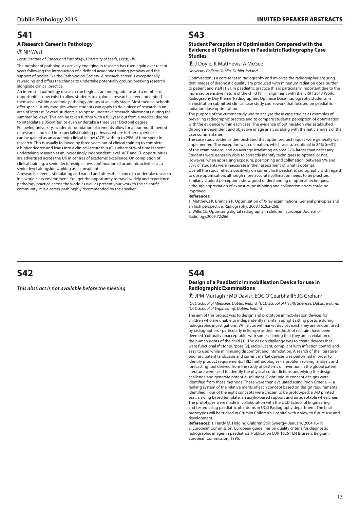### **S41 A Research Career in Pathology**

P NP West

*Leeds Institute of Cancer and Pathology, University of Leeds, Leeds, UK*

The number of pathologists actively engaging in research has risen again over recent years following the introduction of a defined academic training pathway and the support of bodies like the Pathological Society. A research career is exceptionally rewarding and offers the chance to undertake potentially ground breaking research alongside clinical practice.

An interest in pathology research can begin as an undergraduate and a number of opportunities now exist to allow students to explore a research career and embed themselves within academic pathology groups at an early stage. Most medical schools offer special study modules where students can apply to do a piece of research in an area of interest. Several students also opt to undertake research placements during the summer holidays. This can be taken further with a full year out from a medical degree to intercalate a BSc/MRes, or even undertake a three year Doctoral degree. Following university, academic foundation placements allow for a four month period of research and lead into specialist training pathways where further experience can be gained as an academic clinical fellow (ACF) with up to 25% of time spent in research. This is usually followed by three years out of clinical training to complete a higher degree and leads into a clinical lectureship (CL) where 50% of time is spent undertaking research at an increasingly independent level. ACF and CL opportunities are advertised across the UK in centres of academic excellence. On completion of clinical training, a senior lectureship allows continuation of academic activities at a senior level alongside working as a consultant.

A research career is stimulating and varied and offers the chance to undertake research in a world class environment. You get the opportunity to travel widely and experience pathology practice across the world as well as present your work to the scientific community. It is a career path highly recommended by the speaker!

### **S42**

*This abstract is not available before the meeting*

### **S43**

#### **Student Perception of Optimisation Compared with the Evidence of Optimisation in Paediatric Radiography Case Studies**

P J Doyle; K Matthews; A McGee

*University College Dublin, Dublin, Ireland*

Optimisation is a core tenet in radiography and involves the radiographer ensuring that images of diagnostic quality are produced with minimum radiation dose burden to patient and staff [1,2]. In paediatric practice this is particularly important due to the more radiosensitive nature of the child [1]. In alignment with the ISRRT 2013 World Radiography Day theme 'Radiographers Optimise Dose', radiography students in an institution submitted clinical case study coursework that focused on paediatric radiation dose optimisation.

The purpose of the current study was to analyse these case studies as examples of prevailing radiographic practice and to compare students' perception of optimisation with the evidence within each case. The evidence of optimisation was established through independent and objective image analysis along with thematic analysis of the case commentaries.

The case study evidence demonstrated that optimised techniques were generally well implemented. The exception was collimation, which was sub-optimal in  $84%$  (n=31) of the examinations, and on average irradiating an area 27% larger than necessary. Students were generally able to correctly identify techniques as optimal or not. However, when appraising exposure, positioning and collimation, between 9% and

33% of students were inaccurate in their assessment of what is optimal. Overall the study reflects positively on current Irish paediatric radiography with regard to dose optimisation, although more accurate collimation needs to be practised. Similarly student perceptions show good understanding of optimal techniques, although appreciation of exposure, positioning and collimation errors could be

#### improved. **References:**

1. Matthews K, Brennan P. Optimisation of X-ray examinations: General principles and an Irish perspective. Radiography. 2008:15:262-268. 2. Willis CE. Optimizing digital radiography in children. European Journal of Radiology.2009:72:266

### **S44**

#### **Design of a Paediatric Immobilisation Device for use in Radiographic Examinations**

**(B)** JPM Murtagh<sup>1</sup>; MD Davis<sup>2</sup>; EOC O'Cearbhaill<sup>3</sup>; JG Grehan<sup>2</sup>

<sup>1</sup> UCD School of Medicine, Dublin, Ireland; <sup>2</sup>UCD School of Health Sciences, Dublin, Ireland;<br><sup>3</sup>UCD School of Engineering, Dublin, Ireland *UCD School of Engineering, Dublin, Ireland*

The aim of this project was to design and prototype immobilisation devices for children who are unable to independently maintain upright sitting posture during radiographic investigations. While current market devices exist, they are seldom used by radiographers - particularly in Europe as their methods of restraint have been deemed 'culturally unacceptable' with some claiming that they are in violation of the human rights of the child [1]. The design challenge was to create devices that were functional (fit for purpose [2], radio-lucent, compliant with infection control and easy to use) while minimising discomfort and intimidation. A search of the literature, prior art, patent landscape and current market devices was performed in order to identify product requirements. TRIZ methodologies - a problem solving, analysis and forecasting tool derived from the study of patterns of invention in the global patent literature were used to identify the physical contradictions underlying the design challenge and generate potential solutions. Eight unique concept designs were identified from these methods. These were then evaluated using Pugh Criteria — a ranking system of the relative merits of each concept based on design requirements identified. Four of the eight concepts were chosen to be prototyped: a 3-D printed seat, a swing based template, an acrylic-based support and an adaptable wheelchair. The prototypes were made in collaboration with the UCD School of Engineering and tested using paediatric phantoms in UCD Radiography department. The final prototypes will be trialled in Crumlin Children's Hospital with a view to future use and development.

**References:** 1. Hardy M. Holding Children Still! Synergy- January. 2004:16-19. 2. European Commission. European guidelines on quality criteria for diagnostic radiographic images in paediatrics. Publication EUR 16261 EN Brussels, Belgium: European Commission, 1996.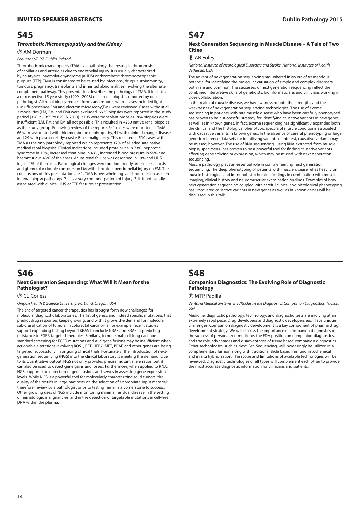#### *Thrombotic Microangiopathy and the Kidney*

P AM Dorman

*Beaumont/RCSI, Dublin, Ireland*

Thrombotic microangiopathy (TMA) is a pathology that results in thrombosis of capillaries and arterioles due to endothelial injury. It is usually characterized by an atypical haemolytic syndrome (aHUS) or thrombotic thrombocytopaenic purpura (TTP). TMA is considered to be caused by infections, drugs, autoimmunity, tumours, pregnancy, transplants and inherited abnormalities involving the alternate complement pathway. This presentation describes the pathology of TMA. It includes a retrospective 15 year study (1999 - 2013) of all renal biopsies reported by one pathologist. All renal biopsy request forms and reports, where cases included light (LM), fluorescence(FM) and electron microscopy(EM), were reviewed. Cases without all 3 modalitles (LM, FM, and EM) were excluded. 6639 biopsies were reported in the study period (328 in 1999 to 629 IN 2013). 2105 were transplant biopsies. 284 biopsies were insufficient (LM, FM and EM all not possible. This resulted in 4250 native renal biopsies as the study group. Following review of the reports 641 cases were reported as TMA. 66 were associated with thin membrane nephropathy, 41 with minimal change disease and 24 with plasma cell dyscrasia/ B cell malignancy. This resulted in 510 cases with TMA as the only pathology reported which represents 12% of all adequate native medical renal biopsies. Clinical indications included proteinuria in 73%, nephrotic syndrome in 15%, increased creatinine in 43%, increased blood pressure in 55% and haematuria in 43% of the cases. Acute renal failure was described in 10% and HUS in just 1% of the cases. Pathological changes were predominently arteriolar sclerosis and glomerular double contours on LM with chronic subendothelial injury on EM. The conclusions of this presentation are 1. TMA is overwhelmingly a chronic lesion as seen in renal biopsy pathology. 2. It is a very common pattern of injury. 3. It is not usually associated with clinical HUS or TTP features at presentation

#### **S46 Next Generation Sequencing: What Will it Mean for the Pathologist?**

P CL Corless

*Oregon Health & Science University, Portland, Oregon, USA*

The era of targeted cancer therapeutics has brought forth new challenges for molecular diagnostic laboratories. The list of genes, and indeed specific mutations, that predict drug responses keeps growing, and with it grows the demand for molecular sub-classification of tumors. In colorectal carcinoma, for example, recent studies support expanding testing beyond KRAS to include NRAS and BRAF in predicting resistance to EGFR-targeted therapies. Similarly, in non-small cell lung carcinoma standard screening for EGFR mutations and ALK gene fusions may be insufficient when actionable alterations involving ROS1, RET, HER2, MET, BRAF and other genes are being targeted (successfully) in ongoing clinical trials. Fortunately, the introduction of nextgeneration sequencing (NGS) into the clinical laboratory is meeting the demand. Due to its quantitative output, NGS not only provides precise mutant allele ratios, but it can also be used to detect gene gains and losses. Furthermore, when applied to RNA, NGS supports the detection of gene fusions and serves in assessing gene expression levels. While NGS is a powerful tool for molecularly characterizing solid tumors, the quality of the results in large part rests on the selection of appropriate input material; therefore, review by a pathologist prior to testing remains a cornerstone to success. Other growing uses of NGS include monitoring minimal residual disease in the setting of hematologic malignancies, and in the detection of targetable mutations in cell-free DNA within the plasma.

### **S47**

#### **Next Generation Sequencing in Muscle Disease – A Tale of Two Cities**

P AR Foley

*National Institute of Neurological Disorders and Stroke, National Institutes of Health, Bethesda, USA*

The advent of next generation sequencing has ushered in an era of tremendous potential for identifying the molecular causation of simple and complex disorders, both rare and common. The successes of next generation sequencing reflect the combined interpretive skills of geneticists, bioinformaticians and clinicians working in close collaboration.

In the realm of muscle disease, we have witnessed both the strengths and the weaknesses of next generation sequencing technologies. The use of exome sequencing in patients with rare muscle disease who have been carefully phenotyped has proven to be a successful strategy for identifying causative variants in new genes as well as in known genes. In fact, exome sequencing has significantly expanded both the clinical and the histological phenotypic spectra of muscle conditions associated with causative variants in known genes. In the absence of careful phenotyping or large genetic reference data sets for identifying variants of interest, causative variants may be missed, however. The use of RNA sequencing- using RNA extracted from muscle biopsy specimens- has proven to be a powerful tool for finding causative variants affecting gene splicing or expression, which may be missed with next generation sequencing.

Muscle pathology plays an essential role in complementing next generation sequencing. The deep phenotyping of patients with muscle disease relies heavily on muscle histological and immunohistochemical findings in combination with muscle imaging, clinical history and neuromuscular examination findings. Examples of how next generation sequencing coupled with careful clinical and histological phenotyping has uncovered causative variants in new genes as well as in known genes will be discussed in this talk.

### **S48**

#### **Companion Diagnostics: The Evolving Role of Diagnostic Pathology**

#### P MTP Padilla

*Ventana Medical Systems, Inc./Roche Tissue Diagnostics Companion Diagnostics, Tucson, USA*

Medicine, diagnostic pathology, technology, and diagnostic tests are evolving at an extremely rapid pace. Drug developers and diagnostic developers each face unique challenges. Companion diagnostic development is a key component of pharma drug development strategy. We will discuss the importance of companion diagnostics in the success of personalized medicine, the FDA position on companion diagnostics, and the role, advantages and disadvantages of tissue based companion diagnostics. Other technologies, such as Next Gen Sequencing, will increasingly be utilized in a complementary fashion along with traditional slide based immunohistochemical and in situ hybridization. The scope and limitations of available technologies will be reviewed. Diagnostic technologies of all types will complement each other to provide the most accurate diagnostic information for clinicians and patients.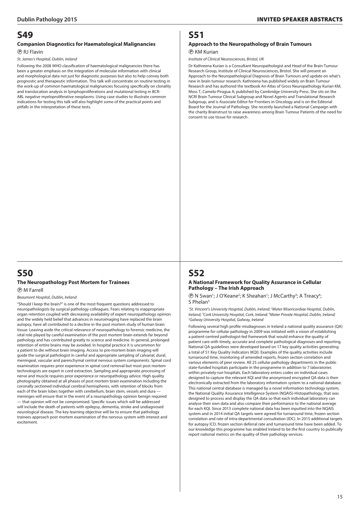### **Companion Diagnostics for Haematological Malignancies**

P RJ Flavin

*St. James's Hospital, Dublin, Ireland*

Following the 2008 WHO classification of haematological malignancies there has been a greater emphasis on the integration of molecular information with clinical and morphological data not just for diagnostic purposes but also to help convey both prognostic and therapeutic information. This talk will concentrate on routine testing in the work-up of common haematological malignancies focusing specifically on clonality and translocation analysis in lymphoproliferations and mutational testing in BCR-ABL negative myeloproliferative neoplasms. Using case studies to illustrate common indications for testing this talk will also highlight some of the practical points and pitfalls in the interpretation of these tests.

### **S51**

#### **Approach to the Neuropathology of Brain Tumours**  P KM Kurian

*Institute of Clinical Neurosciences, Bristol, UK*

Dr Kathreena Kurian is a Consultant Neuropathologist and Head of the Brain Tumour Research Group, Institute of Clinical Neurosciences, Bristol. She will present an Approach to the Neuropathological Diagnosis of Brain Tumours and update on what's new in brain tumour research. Kathreena has published widely on Brain Tumour Research and has authored the textbook An Atlas of Gross Neuropathology Kurian KM, Moss T, Camelo-Piragua A; published by Cambridge University Press. She sits on the NCRI Brain Tumour Clinical Subgroup and Novel Agents and Translational Research Subgroup, and is Associate Editor for Frontiers in Oncology and is on the Editorial Board for the Journal of Pathology. She recently launched a National Campaign with the charity Brainstrust to raise awareness among Brain Tumour Patients of the need for consent to use tissue for research .

#### **S50 The Neuropathology Post Mortem for Trainees**

P M Farrell

*Beaumont Hospital, Dublin, Ireland*

"Should I keep the brain?" is one of the most frequent questions addressed to neuropathologists by surgical pathology colleagues. Fears relating to inappropriate organ retention coupled with decreasing availability of expert neuropathology opinion and the widely held belief that advances in neuroimaging have replaced the brain autopsy, have all contributed to a decline in the post mortem study of human brain tissue. Leaving aside the critical relevance of neuropathology to forensic medicine, the vital role played by careful examination of the post mortem brain extends far beyond pathology and has contributed greatly to science and medicine. In general, prolonged retention of entire brains may be avoided. In hospital practice it is uncommon for a patient to die without brain imaging. Access to pre-mortem brain imaging will guide the surgical pathologist in careful and appropriate sampling of calvarial, dural, meningeal, vascular and parenchymal central nervous system components. Spinal cord examination requires prior experience in spinal cord removal but most post mortem technologists are expert in cord extraction. Sampling and appropriate processing of nerve and muscle requires prior experience or neuropathology advice. High quality photography obtained at all phases of post mortem brain examination including the coronally sectioned individual cerebral hemispheres, with retention of blocks from each of the brain lobes together with cerebellum, brain stem, vessels and dura meninges will ensure that in the event of a neuropathology opinion benign required — that opinion will not be compromised. Specific issues which will be addressed will include the death of patients with epilepsy, dementia, stroke and undiagnosed neurological disease. The key learning objective will be to ensure that pathology trainees approach post mortem examination of the nervous system with interest and excitement.

# **S52**

#### **A National Framework for Quality Assurance in Cellular Pathology – The Irish Approach**

**(B)** N Swan<sup>1</sup>; J O'Keane<sup>2</sup>; K Sheahan<sup>1</sup>; J McCarthy<sup>3</sup>; A Treacy<sup>4</sup>; S Phelan<sup>5</sup>

<sup>1</sup>St. Vincent's University Hospital, Dublin, Ireland; <sup>2</sup>Mater Misericordiae Hospital, Dublin, *Ireland; 3 Cork University Hospital, Cork, Ireland; 4 Mater Private Hospital, Dublin, Ireland; 5 Galway University Hospital, Galway, Ireland*

Following several high profile misdiagnoses in Ireland a national quality assurance (QA) programme for cellular pathology in 2009 was initiated with a vision of establishing a patient-centred pathologist-led framework that would enhance the quality of patient care with timely, accurate and complete pathological diagnoses and reporting. National QA guidelines were developed based on 17 key quality activities generating a total of 51 Key Quality Indicators (KQI). Examples of the quality activities include turnaround time, monitoring of amended reports, frozen section correlation and various elements of peer review. All 25 cellular pathology departments in the public state-funded hospitals participate in the programme in addition to 7 laboratories within privately-run hospitals. Each laboratory enters codes on individual cases designed to capture the relevant KQI and the anonymised encrypted QA data is then electronically extracted from the laboratory information system to a national database. This national central database is managed by a novel information technology system, the National Quality Assurance Intelligence System (NQAIS)-Histopathology, that was designed to process and display the QA data so that each individual laboratory can analyse their own data and also compare their performance to the national average for each KQI. Since 2013 complete national data has been inputted into the NQAIS system and in 2014 initial QA targets were agreed for turnaround time, frozen section correlation and rate of intra-departmental consultation (IDC). In 2015 additional targets for autopsy ICD, frozen section deferral rate and turnaround time have been added. To our knowledge this programme has enabled Ireland to be the first country to publically report national metrics on the quality of their pathology services.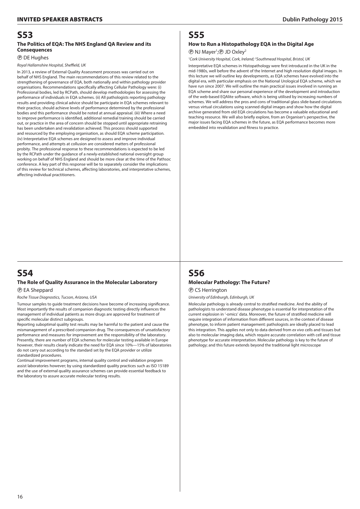#### **The Politics of EQA: The NHS England QA Review and its Consequences**

P DE Hughes

#### *Royal Hallamshire Hospital, Sheffield, UK*

In 2013, a review of External Quality Assessment processes was carried out on behalf of NHS England. The main recommendations of this review related to the strengthening of governance of EQA, both nationally and within pathology provider organisations. Recommendations specifically affecting Cellular Pathology were: (i) Professional bodies, led by RCPath, should develop methodologies for assessing the performance of individuals in EQA schemes. (ii) All pathologists reporting pathology results and providing clinical advice should be participate in EQA schemes relevant to their practice, should achieve levels of performance determined by the professional bodies and this performance should be noted at annual appraisal. (iii) Where a need to improve performance is identified, additional remedial training should be carried out, or practice in the area of concern should be stopped until appropriate retraining has been undertaken and revalidation achieved. This process should supported and resourced by the employing organisation, as should EQA scheme participation. (iv) Interpretative EQA schemes are designed to assess and improve individual performance, and attempts at collusion are considered matters of professional probity. The professional response to these recommendations is expected to be led by the RCPath under the guidance of a newly-established national oversight group working on behalf of NHS England and should be more clear at the time of the Pathsoc conference. A key part of this response will be to separately consider the implications of this review for technical schemes, affecting laboratories, and interpretative schemes, affecting individual practitioners.

### **S55**

#### **How to Run a Histopathology EQA in the Digital Age**

**(P)** NJ Mayer<sup>1</sup>; **P**) JD Oxley<sup>2</sup>

<sup>1</sup> Cork University Hospital, Cork, Ireland; <sup>2</sup> Southmead Hospital, Bristol, UK

Interpretative EQA schemes in Histopathology were first introduced in the UK in the mid-1980s, well before the advent of the Internet and high resolution digital images. In this lecture we will outline key developments, as EQA schemes have evolved into the digital era, with particular emphasis on the National Urological EQA scheme, which we have run since 2007. We will outline the main practical issues involved in running an EQA scheme and share our personal experience of the development and introduction of the web-based EQAlite software, which is being utilised by increasing numbers of schemes. We will address the pros and cons of traditional glass slide-based circulations versus virtual circulations using scanned digital images and show how the digital archive generated from old EQA circulations has become a valuable educational and teaching resource. We will also briefly explore, from an Organiser's perspective, the major issues facing EQA schemes in the future, as EQA performance becomes more embedded into revalidation and fitness to practice.

### **S54**

### **The Role of Quality Assurance in the Molecular Laboratory**

#### P EA Sheppard

*Roche Tissue Diagnostics, Tucson, Arizona, USA*

Tumour samples to guide treatment decisions have become of increasing significance. Most importantly the results of companion diagnostic testing directly influences the management of individual patients as more drugs are approved for treatment of specific molecular distinct subgroups.

Reporting suboptimal quality test results may be harmful to the patient and cause the mismanagement of a prescribed companion drug. The consequences of unsatisfactory performance and measures for improvement are the responsibility of the laboratory. Presently, there are number of EQA schemes for molecular testing available in Europe however, their results clearly indicate the need for EQA since 10%—15% of laboratories do not carry out according to the standard set by the EQA provider or utilize standardized procedures.

Continual improvement programs, internal quality control and validation program assist laboratories however; by using standardized quality practices such as ISO 15189 and the use of external quality assurance schemes can provide essential feedback to the laboratory to assure accurate molecular testing results.

# **S56**

### **Molecular Pathology: The Future?**

P CS Herrington

*University of Edinburgh, Edinburgh, UK*

Molecular pathology is already central to stratified medicine. And the ability of pathologists to understand disease phenotype is essential for interpretation of the current explosion in '-omics' data. Moreover, the future of stratified medicine will require integration of information from different sources, in the context of disease phenotype, to inform patient management: pathologists are ideally placed to lead this integration. This applies not only to data derived from *ex vivo* cells and tissues but also to molecular imaging data, which require accurate correlation with cell and tissue phenotype for accurate interpretation. Molecular pathology is key to the future of pathology; and this future extends beyond the traditional light microscope